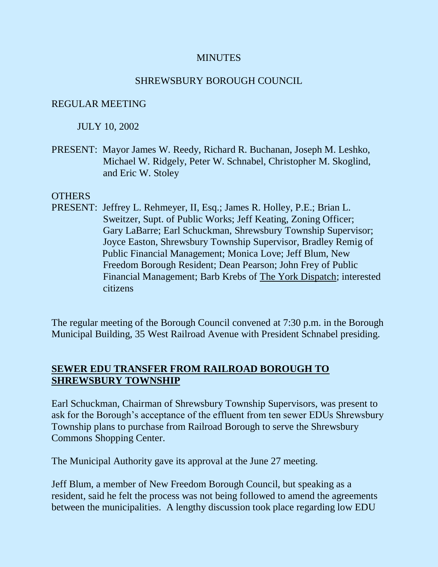#### **MINUTES**

#### SHREWSBURY BOROUGH COUNCIL

#### REGULAR MEETING

#### JULY 10, 2002

PRESENT: Mayor James W. Reedy, Richard R. Buchanan, Joseph M. Leshko, Michael W. Ridgely, Peter W. Schnabel, Christopher M. Skoglind, and Eric W. Stoley

#### **OTHERS**

PRESENT: Jeffrey L. Rehmeyer, II, Esq.; James R. Holley, P.E.; Brian L. Sweitzer, Supt. of Public Works; Jeff Keating, Zoning Officer; Gary LaBarre; Earl Schuckman, Shrewsbury Township Supervisor; Joyce Easton, Shrewsbury Township Supervisor, Bradley Remig of Public Financial Management; Monica Love; Jeff Blum, New Freedom Borough Resident; Dean Pearson; John Frey of Public Financial Management; Barb Krebs of The York Dispatch; interested citizens

The regular meeting of the Borough Council convened at 7:30 p.m. in the Borough Municipal Building, 35 West Railroad Avenue with President Schnabel presiding.

## **SEWER EDU TRANSFER FROM RAILROAD BOROUGH TO SHREWSBURY TOWNSHIP**

Earl Schuckman, Chairman of Shrewsbury Township Supervisors, was present to ask for the Borough's acceptance of the effluent from ten sewer EDUs Shrewsbury Township plans to purchase from Railroad Borough to serve the Shrewsbury Commons Shopping Center.

The Municipal Authority gave its approval at the June 27 meeting.

Jeff Blum, a member of New Freedom Borough Council, but speaking as a resident, said he felt the process was not being followed to amend the agreements between the municipalities. A lengthy discussion took place regarding low EDU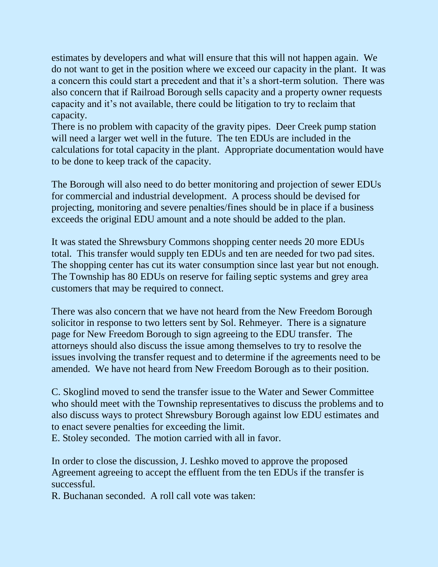estimates by developers and what will ensure that this will not happen again. We do not want to get in the position where we exceed our capacity in the plant. It was a concern this could start a precedent and that it's a short-term solution. There was also concern that if Railroad Borough sells capacity and a property owner requests capacity and it's not available, there could be litigation to try to reclaim that capacity.

There is no problem with capacity of the gravity pipes. Deer Creek pump station will need a larger wet well in the future. The ten EDUs are included in the calculations for total capacity in the plant. Appropriate documentation would have to be done to keep track of the capacity.

The Borough will also need to do better monitoring and projection of sewer EDUs for commercial and industrial development. A process should be devised for projecting, monitoring and severe penalties/fines should be in place if a business exceeds the original EDU amount and a note should be added to the plan.

It was stated the Shrewsbury Commons shopping center needs 20 more EDUs total. This transfer would supply ten EDUs and ten are needed for two pad sites. The shopping center has cut its water consumption since last year but not enough. The Township has 80 EDUs on reserve for failing septic systems and grey area customers that may be required to connect.

There was also concern that we have not heard from the New Freedom Borough solicitor in response to two letters sent by Sol. Rehmeyer. There is a signature page for New Freedom Borough to sign agreeing to the EDU transfer. The attorneys should also discuss the issue among themselves to try to resolve the issues involving the transfer request and to determine if the agreements need to be amended. We have not heard from New Freedom Borough as to their position.

C. Skoglind moved to send the transfer issue to the Water and Sewer Committee who should meet with the Township representatives to discuss the problems and to also discuss ways to protect Shrewsbury Borough against low EDU estimates and to enact severe penalties for exceeding the limit.

E. Stoley seconded. The motion carried with all in favor.

In order to close the discussion, J. Leshko moved to approve the proposed Agreement agreeing to accept the effluent from the ten EDUs if the transfer is successful.

R. Buchanan seconded. A roll call vote was taken: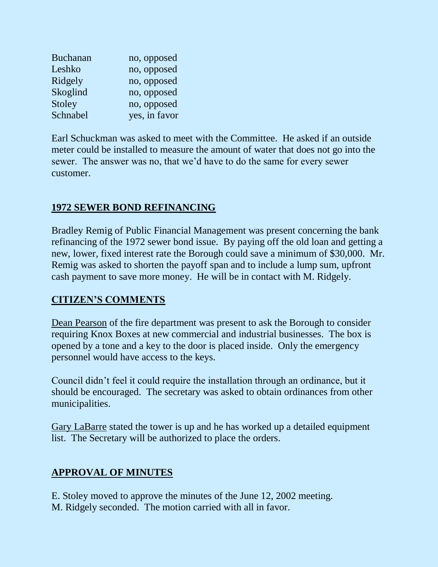| <b>Buchanan</b> | no, opposed   |
|-----------------|---------------|
| Leshko          | no, opposed   |
| Ridgely         | no, opposed   |
| Skoglind        | no, opposed   |
| Stoley          | no, opposed   |
| Schnabel        | yes, in favor |

Earl Schuckman was asked to meet with the Committee. He asked if an outside meter could be installed to measure the amount of water that does not go into the sewer. The answer was no, that we'd have to do the same for every sewer customer.

# **1972 SEWER BOND REFINANCING**

Bradley Remig of Public Financial Management was present concerning the bank refinancing of the 1972 sewer bond issue. By paying off the old loan and getting a new, lower, fixed interest rate the Borough could save a minimum of \$30,000. Mr. Remig was asked to shorten the payoff span and to include a lump sum, upfront cash payment to save more money. He will be in contact with M. Ridgely.

# **CITIZEN'S COMMENTS**

Dean Pearson of the fire department was present to ask the Borough to consider requiring Knox Boxes at new commercial and industrial businesses. The box is opened by a tone and a key to the door is placed inside. Only the emergency personnel would have access to the keys.

Council didn't feel it could require the installation through an ordinance, but it should be encouraged. The secretary was asked to obtain ordinances from other municipalities.

Gary LaBarre stated the tower is up and he has worked up a detailed equipment list. The Secretary will be authorized to place the orders.

## **APPROVAL OF MINUTES**

E. Stoley moved to approve the minutes of the June 12, 2002 meeting. M. Ridgely seconded. The motion carried with all in favor.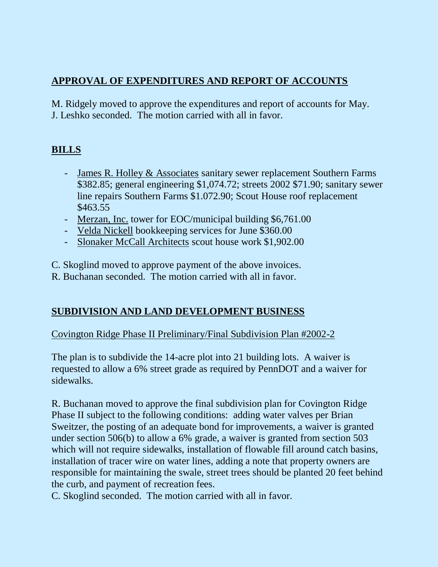# **APPROVAL OF EXPENDITURES AND REPORT OF ACCOUNTS**

M. Ridgely moved to approve the expenditures and report of accounts for May. J. Leshko seconded. The motion carried with all in favor.

# **BILLS**

- James R. Holley & Associates sanitary sewer replacement Southern Farms \$382.85; general engineering \$1,074.72; streets 2002 \$71.90; sanitary sewer line repairs Southern Farms \$1.072.90; Scout House roof replacement \$463.55
- Merzan, Inc. tower for EOC/municipal building \$6,761.00
- Velda Nickell bookkeeping services for June \$360.00
- Slonaker McCall Architects scout house work \$1,902.00

C. Skoglind moved to approve payment of the above invoices.

R. Buchanan seconded. The motion carried with all in favor.

# **SUBDIVISION AND LAND DEVELOPMENT BUSINESS**

Covington Ridge Phase II Preliminary/Final Subdivision Plan #2002-2

The plan is to subdivide the 14-acre plot into 21 building lots. A waiver is requested to allow a 6% street grade as required by PennDOT and a waiver for sidewalks.

R. Buchanan moved to approve the final subdivision plan for Covington Ridge Phase II subject to the following conditions: adding water valves per Brian Sweitzer, the posting of an adequate bond for improvements, a waiver is granted under section 506(b) to allow a 6% grade, a waiver is granted from section 503 which will not require sidewalks, installation of flowable fill around catch basins, installation of tracer wire on water lines, adding a note that property owners are responsible for maintaining the swale, street trees should be planted 20 feet behind the curb, and payment of recreation fees.

C. Skoglind seconded. The motion carried with all in favor.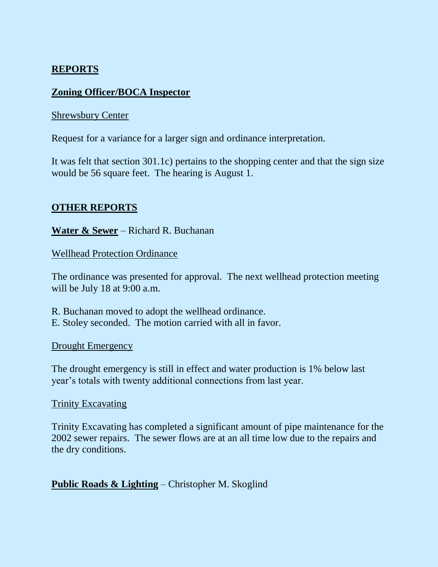## **REPORTS**

## **Zoning Officer/BOCA Inspector**

#### Shrewsbury Center

Request for a variance for a larger sign and ordinance interpretation.

It was felt that section 301.1c) pertains to the shopping center and that the sign size would be 56 square feet. The hearing is August 1.

## **OTHER REPORTS**

**Water & Sewer** – Richard R. Buchanan

#### Wellhead Protection Ordinance

The ordinance was presented for approval. The next wellhead protection meeting will be July 18 at 9:00 a.m.

R. Buchanan moved to adopt the wellhead ordinance. E. Stoley seconded. The motion carried with all in favor.

#### Drought Emergency

The drought emergency is still in effect and water production is 1% below last year's totals with twenty additional connections from last year.

#### Trinity Excavating

Trinity Excavating has completed a significant amount of pipe maintenance for the 2002 sewer repairs. The sewer flows are at an all time low due to the repairs and the dry conditions.

## **Public Roads & Lighting** – Christopher M. Skoglind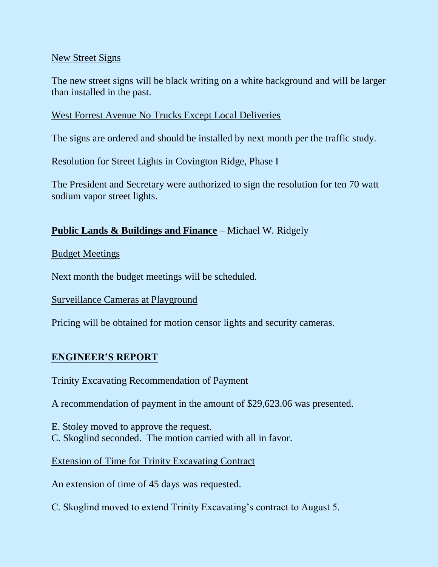#### New Street Signs

The new street signs will be black writing on a white background and will be larger than installed in the past.

## West Forrest Avenue No Trucks Except Local Deliveries

The signs are ordered and should be installed by next month per the traffic study.

Resolution for Street Lights in Covington Ridge, Phase I

The President and Secretary were authorized to sign the resolution for ten 70 watt sodium vapor street lights.

## **Public Lands & Buildings and Finance** – Michael W. Ridgely

Budget Meetings

Next month the budget meetings will be scheduled.

Surveillance Cameras at Playground

Pricing will be obtained for motion censor lights and security cameras.

## **ENGINEER'S REPORT**

#### Trinity Excavating Recommendation of Payment

A recommendation of payment in the amount of \$29,623.06 was presented.

E. Stoley moved to approve the request.

C. Skoglind seconded. The motion carried with all in favor.

## Extension of Time for Trinity Excavating Contract

An extension of time of 45 days was requested.

C. Skoglind moved to extend Trinity Excavating's contract to August 5.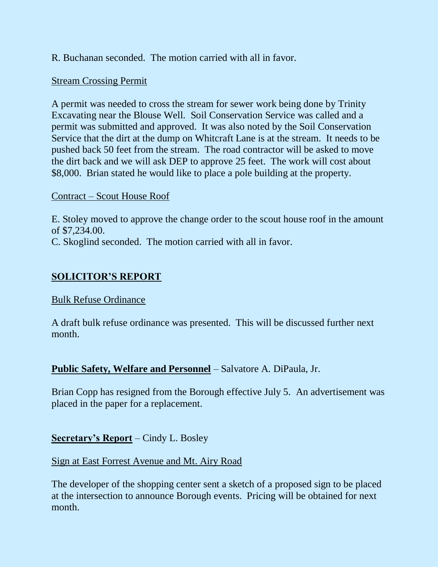R. Buchanan seconded. The motion carried with all in favor.

## Stream Crossing Permit

A permit was needed to cross the stream for sewer work being done by Trinity Excavating near the Blouse Well. Soil Conservation Service was called and a permit was submitted and approved. It was also noted by the Soil Conservation Service that the dirt at the dump on Whitcraft Lane is at the stream. It needs to be pushed back 50 feet from the stream. The road contractor will be asked to move the dirt back and we will ask DEP to approve 25 feet. The work will cost about \$8,000. Brian stated he would like to place a pole building at the property.

## Contract – Scout House Roof

E. Stoley moved to approve the change order to the scout house roof in the amount of \$7,234.00. C. Skoglind seconded. The motion carried with all in favor.

# **SOLICITOR'S REPORT**

## Bulk Refuse Ordinance

A draft bulk refuse ordinance was presented. This will be discussed further next month.

## **Public Safety, Welfare and Personnel** – Salvatore A. DiPaula, Jr.

Brian Copp has resigned from the Borough effective July 5. An advertisement was placed in the paper for a replacement.

## **Secretary's Report** – Cindy L. Bosley

## Sign at East Forrest Avenue and Mt. Airy Road

The developer of the shopping center sent a sketch of a proposed sign to be placed at the intersection to announce Borough events. Pricing will be obtained for next month.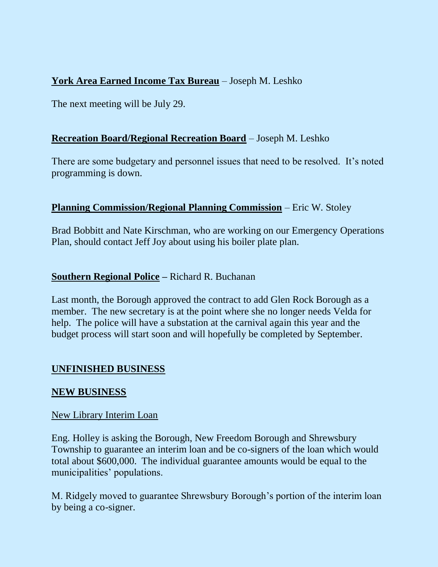# **York Area Earned Income Tax Bureau** – Joseph M. Leshko

The next meeting will be July 29.

## **Recreation Board/Regional Recreation Board** – Joseph M. Leshko

There are some budgetary and personnel issues that need to be resolved. It's noted programming is down.

## **Planning Commission/Regional Planning Commission** – Eric W. Stoley

Brad Bobbitt and Nate Kirschman, who are working on our Emergency Operations Plan, should contact Jeff Joy about using his boiler plate plan.

## **Southern Regional Police –** Richard R. Buchanan

Last month, the Borough approved the contract to add Glen Rock Borough as a member. The new secretary is at the point where she no longer needs Velda for help. The police will have a substation at the carnival again this year and the budget process will start soon and will hopefully be completed by September.

## **UNFINISHED BUSINESS**

## **NEW BUSINESS**

#### New Library Interim Loan

Eng. Holley is asking the Borough, New Freedom Borough and Shrewsbury Township to guarantee an interim loan and be co-signers of the loan which would total about \$600,000. The individual guarantee amounts would be equal to the municipalities' populations.

M. Ridgely moved to guarantee Shrewsbury Borough's portion of the interim loan by being a co-signer.